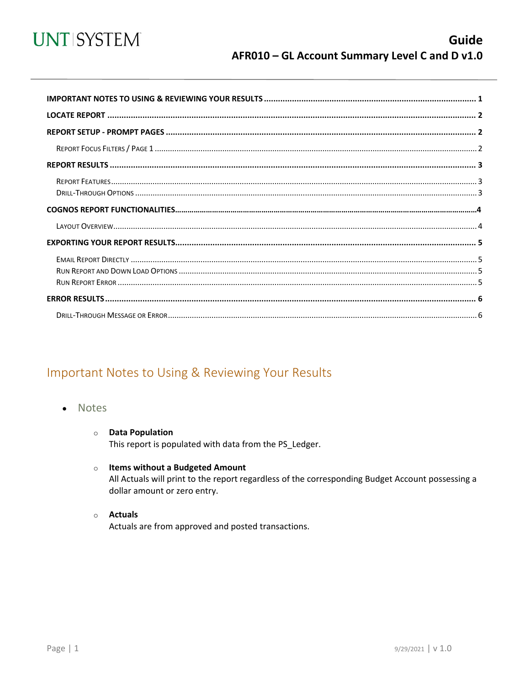

<span id="page-0-0"></span>

## Important Notes to Using & Reviewing Your Results

- Notes
	- **O** Data Population This report is populated with data from the PS\_Ledger.
	- $\circ$  Items without a Budgeted Amount All Actuals will print to the report regardless of the corresponding Budget Account possessing a dollar amount or zero entry.
	- $\circ$  Actuals Actuals are from approved and posted transactions.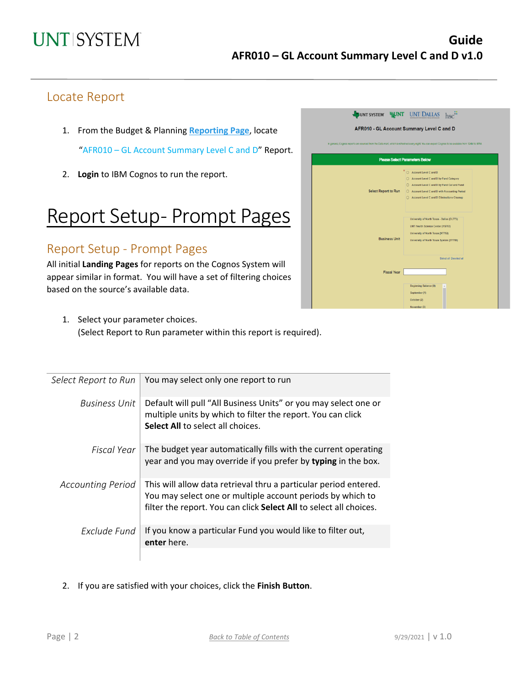## Locate Report

- 1. From the Budget & Planning **[Reporting Page](https://finance.untsystem.edu/reporting)**, locate "AFR010 – GL Account Summary Level C and D" Report.
- 2. **Login** to IBM Cognos to run the report.

## Report Setup- Prompt Pages

## Report Setup - Prompt Pages

All initial **Landing Pages** for reports on the Cognos System will appear similar in format. You will have a set of filtering choices based on the source's available data.

| UNT SYSTEM                  | <b>NUNT UNT</b>                                                                                                                                    |
|-----------------------------|----------------------------------------------------------------------------------------------------------------------------------------------------|
|                             | AFR010 - GL Account Summary Level C and D                                                                                                          |
|                             | In general, Cognos reports are sourced from the Data mart, which is refreshed every night. You can expect Cognos to be available from 12AM to 9PM. |
|                             | <b>Please Select Parameters Below</b>                                                                                                              |
|                             |                                                                                                                                                    |
|                             | ○ Account Level C and D                                                                                                                            |
|                             | ◯ Account Level C and D by Fund Category                                                                                                           |
| <b>Select Report to Run</b> | ◯ Account Level C and D by Fund Cat and Fund<br>○ Account Level C and D with Accounting Period                                                     |
|                             | Account Level C and D Eliminations Cleanup                                                                                                         |
|                             |                                                                                                                                                    |
|                             |                                                                                                                                                    |
|                             | University of North Texas - Dallas (DL773)                                                                                                         |
|                             | <b>UNT Health Science Center (HS763)</b>                                                                                                           |
|                             | University of North Texas (NT752)                                                                                                                  |
| <b>Business Unit</b>        | University of North Texas System (SY769)                                                                                                           |
|                             |                                                                                                                                                    |
|                             | Select all Deselect all                                                                                                                            |
|                             |                                                                                                                                                    |
| <b>Fiscal Year</b>          |                                                                                                                                                    |
|                             |                                                                                                                                                    |
|                             | Beginning Balance (0)                                                                                                                              |
|                             | September (1)                                                                                                                                      |
|                             | October (2)                                                                                                                                        |
|                             | November (3)                                                                                                                                       |

1. Select your parameter choices. (Select Report to Run parameter within this report is required).

| Select Report to Run     | You may select only one report to run                                                                                                                                                                |
|--------------------------|------------------------------------------------------------------------------------------------------------------------------------------------------------------------------------------------------|
| <b>Business Unit</b>     | Default will pull "All Business Units" or you may select one or<br>multiple units by which to filter the report. You can click<br><b>Select All to select all choices.</b>                           |
| Fiscal Year              | The budget year automatically fills with the current operating<br>year and you may override if you prefer by typing in the box.                                                                      |
| <b>Accounting Period</b> | This will allow data retrieval thru a particular period entered.<br>You may select one or multiple account periods by which to<br>filter the report. You can click Select All to select all choices. |
| Exclude Fund             | If you know a particular Fund you would like to filter out,<br>enter here.                                                                                                                           |
|                          |                                                                                                                                                                                                      |

2. If you are satisfied with your choices, click the **Finish Button**.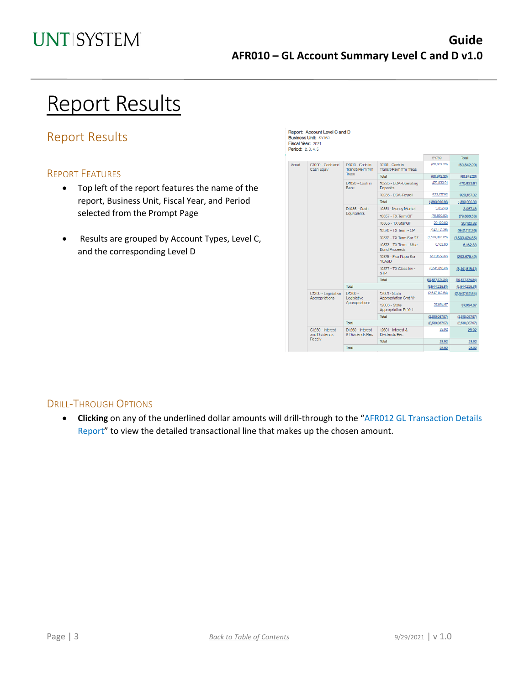Report: Account Level C and D Business Unit: SY769 Fieral Vaar: 2021

## Report Results

## Report Results

#### REPORT FEATURES

- Top left of the report features the name of the report, Business Unit, Fiscal Year, and Period selected from the Prompt Page
- Results are grouped by Account Types, Level C, and the corresponding Level D

|                                         |                                             |                                                     |                                                | SY769             | Total             |
|-----------------------------------------|---------------------------------------------|-----------------------------------------------------|------------------------------------------------|-------------------|-------------------|
| Asset<br>C1000 - Cash and<br>Cash Equiv |                                             | D1010 - Cash in<br>Transit/Reim frm<br><b>Treas</b> | 10101 - Cash in<br>Transit/Reim frm Treas      | (60.842.20)       | (60, 842.20)      |
|                                         |                                             |                                                     | Total                                          | (60, 842.20)      | (60, 842.20)      |
|                                         | D1020 - Cash in<br>Bank                     | 10225 - DDA-Operating<br>Deposits                   | 470,833.91                                     | 470,833.91        |                   |
|                                         |                                             |                                                     | 10235 - DDA-Pavroll                            | 923,157.02        | 923,157.02        |
|                                         |                                             |                                                     | Total                                          | 1,393,990.93      | 1,393,990.93      |
|                                         |                                             | D1035 - Cash<br>Equivalents                         | 10351 - Money Market                           | 3,057,48          | 3,057.48          |
|                                         |                                             |                                                     | 10357 - TX Term GF                             | (79, 680.53)      | (79,680.53)       |
|                                         |                                             |                                                     | 10365 - TX Star GF                             | 20,120.82         | 20,120.82         |
|                                         |                                             |                                                     | 10370 - TX Term - CP                           | (942, 112.36)     | (942, 112.36)     |
|                                         |                                             |                                                     | 10372 - TX Term Ser '17                        | (1,539,424.65)    | (1,539,424.65)    |
|                                         |                                             |                                                     | 10373 - TX Term - Misc<br><b>Bond Proceeds</b> | 6,162.83          | 6,162.83          |
|                                         |                                             |                                                     | 10375 - Flex Repo Ser<br><b>'18A&amp;B</b>     | (203,679,42)      | (203, 679.42)     |
|                                         |                                             |                                                     | 10377 - TX Class Inv -<br><b>STP</b>           | (8, 141, 818, 41) | (8, 141, 818, 41) |
|                                         |                                             |                                                     | Total                                          | (10, 877, 374.24) | (10, 877, 374.24) |
|                                         |                                             | <b>Total</b>                                        |                                                | (9,544,225.51)    | (9,544,225.51)    |
|                                         | C1200 - Legislative<br>Appropriations       | $D1200 -$<br>Legislative<br>Appropriations          | 12001 - State<br><b>Appropriation Crnt Yr</b>  | (2,547,142.64)    | (2,547,142.64)    |
|                                         |                                             |                                                     | 12003 - State<br>Appropriation Pr Yr 1         | 37,054.67         | 37,054.67         |
|                                         |                                             |                                                     | Total                                          | (2,510,087.97)    | (2,510,087.97)    |
|                                         |                                             | Total                                               |                                                | (2,510,087.97)    | (2,510,087.97)    |
|                                         | C1260 - Interest<br>and Dividends<br>Receiv | D1260 - Interest<br>& Dividends Rec.                | 12601 - Interest &<br><b>Dividends Rec</b>     | 28.92             | 28.92             |
|                                         |                                             |                                                     | Total                                          | 28.92             | 28.92             |
|                                         |                                             | Total                                               |                                                | 28.92             | 28.92             |

#### DRILL-THROUGH OPTIONS

• **Clicking** on any of the underlined dollar amounts will drill-through to the "AFR012 GL Transaction Details Report" to view the detailed transactional line that makes up the chosen amount.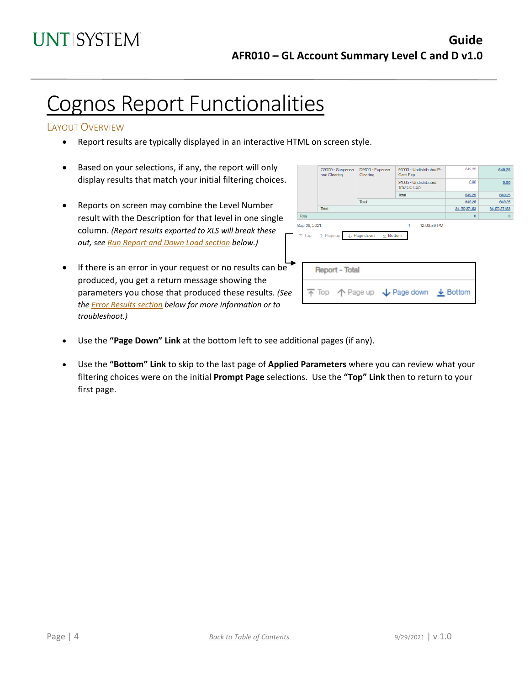## Cognos Report Functionalities

#### LAYOUT OVERVIEW

- Report results are typically displayed in an interactive HTML on screen style.
- Based on your selections, if any, the report will only display results that match your initial filtering choices.
- Reports on screen may combine the Level Number result with the Description for that level in one single column. *(Report results exported to XLS will break these out, see Run Report and Down Load section below.)*
- If there is an error in your request or no results can be produced, you get a return message showing the parameters you chose that produced these results. *(See th[e Error Results section](#page-4-0) below for more information or to troubleshoot.)*

|              | C9000 - Suspense<br>and Clearing           | D9100 - Expense<br>Clearing    | 91003 - Undistributed P-<br>Card Exp                                                    | 649.25                   | 649.25         |
|--------------|--------------------------------------------|--------------------------------|-----------------------------------------------------------------------------------------|--------------------------|----------------|
|              |                                            |                                | 91005 - Undistributed<br>Trav CC Exp                                                    | 0.00                     | 0.00           |
|              |                                            |                                | <b>Total</b>                                                                            | 649.25                   | 649.25         |
|              |                                            | Total                          |                                                                                         | 649.25                   | 649.25         |
|              | Total                                      |                                |                                                                                         | 34,170,371.53            | 34,170,371.53  |
| Total        |                                            |                                |                                                                                         | $\underline{\mathsf{O}}$ | $\overline{0}$ |
| Sep 29, 2021 |                                            |                                | 12:03:59 PM<br>1                                                                        |                          |                |
|              | $\overline{\wedge}$ Top $\uparrow$ Page up | L Page down<br>$\times$ Bottom |                                                                                         |                          |                |
|              | <b>Report - Total</b>                      |                                |                                                                                         |                          |                |
|              |                                            |                                | $\overline{\uparrow}$ Top $\uparrow$ Page up $\downarrow$ Page down $\downarrow$ Bottom |                          |                |
|              |                                            |                                |                                                                                         |                          |                |

- Use the **"Page Down" Link** at the bottom left to see additional pages (if any).
- Use the **"Bottom" Link** to skip to the last page of **Applied Parameters** where you can review what your filtering choices were on the initial **Prompt Page** selections. Use the **"Top" Link** then to return to your first page.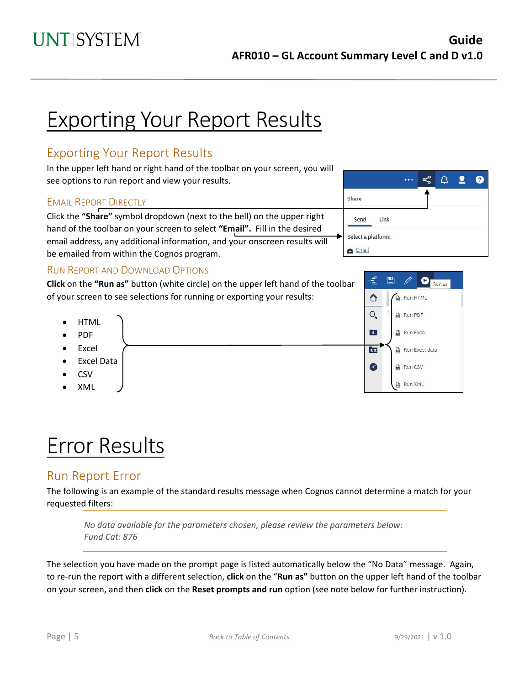Share

Send

Link

# Exporting Your Report Results

## Exporting Your Report Results

In the upper left hand or right hand of the toolbar on your screen, you will see options to run report and view your results.

#### EMAIL REPORT DIRECTLY

Click the **"Share"** symbol dropdown (next to the bell) on the upper right hand of the toolbar on your screen to select **"Email".** Fill in the desired email address, any additional information, and your onscreen results will be emailed from within the Cognos program.

#### RUN REPORT AND DOWNLOAD OPTIONS

**Click** on the **"Run as"** button (white circle) on the upper left hand of the toolbar of your screen to see selections for running or exporting your results:

- Run PDF **HTML** E. Run Excel • PDF • Excel  $\frac{1}{2}$ • Excel Data  $\curvearrowright$ Run CSV • CSV Run XML
- XML

# Error Results

### <span id="page-4-0"></span>Run Report Error

The following is an example of the standard results message when Cognos cannot determine a match for your requested filters:

*No data available for the parameters chosen, please review the parameters below: Fund Cat: 876*

The selection you have made on the prompt page is listed automatically below the "No Data" message. Again, to re-run the report with a different selection, **click** on the "**Run as"** button on the upper left hand of the toolbar on your screen, and then **click** on the **Reset prompts and run** option (see note below for further instruction).



ఢ

 $\cdots$ 

 $\Delta$  $\bullet$  ℯ